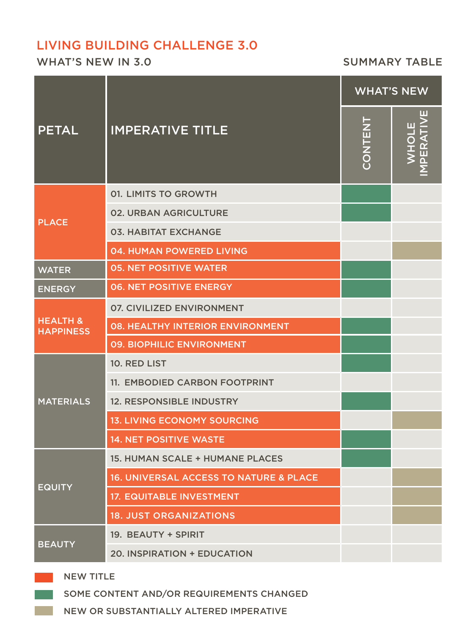# LIVING BUILDING CHALLENGE 3.0

WHAT'S NEW IN 3.0 SUMMARY TABLE

| <b>PETAL</b>                            | <b>IMPERATIVE TITLE</b>                           | <b>WHAT'S NEW</b> |                         |
|-----------------------------------------|---------------------------------------------------|-------------------|-------------------------|
|                                         |                                                   | <b>CONTENT</b>    | PERATIV<br><b>WHOLE</b> |
| <b>PLACE</b>                            | <b>01. LIMITS TO GROWTH</b>                       |                   |                         |
|                                         | <b>02. URBAN AGRICULTURE</b>                      |                   |                         |
|                                         | <b>03. HABITAT EXCHANGE</b>                       |                   |                         |
|                                         | 04. HUMAN POWERED LIVING                          |                   |                         |
| <b>WATER</b>                            | <b>05. NET POSITIVE WATER</b>                     |                   |                         |
| <b>ENERGY</b>                           | <b>06. NET POSITIVE ENERGY</b>                    |                   |                         |
| <b>HEALTH &amp;</b><br><b>HAPPINESS</b> | <b>07. CIVILIZED ENVIRONMENT</b>                  |                   |                         |
|                                         | <b>08. HEALTHY INTERIOR ENVIRONMENT</b>           |                   |                         |
|                                         | 09. BIOPHILIC ENVIRONMENT                         |                   |                         |
| <b>MATERIALS</b>                        | 10. RED LIST                                      |                   |                         |
|                                         | 11. EMBODIED CARBON FOOTPRINT                     |                   |                         |
|                                         | <b>12. RESPONSIBLE INDUSTRY</b>                   |                   |                         |
|                                         | <b>13. LIVING ECONOMY SOURCING</b>                |                   |                         |
|                                         | <b>14. NET POSITIVE WASTE</b>                     |                   |                         |
| <b>EQUITY</b>                           | <b>15. HUMAN SCALE + HUMANE PLACES</b>            |                   |                         |
|                                         | <b>16. UNIVERSAL ACCESS TO NATURE &amp; PLACE</b> |                   |                         |
|                                         | <b>17. EQUITABLE INVESTMENT</b>                   |                   |                         |
|                                         | <b>18. JUST ORGANIZATIONS</b>                     |                   |                         |
| <b>BEAUTY</b>                           | 19. BEAUTY + SPIRIT                               |                   |                         |
|                                         | 20. INSPIRATION + EDUCATION                       |                   |                         |

# NEW TITLE

SOME CONTENT AND/OR REQUIREMENTS CHANGED

NEW OR SUBSTANTIALLY ALTERED IMPERATIVE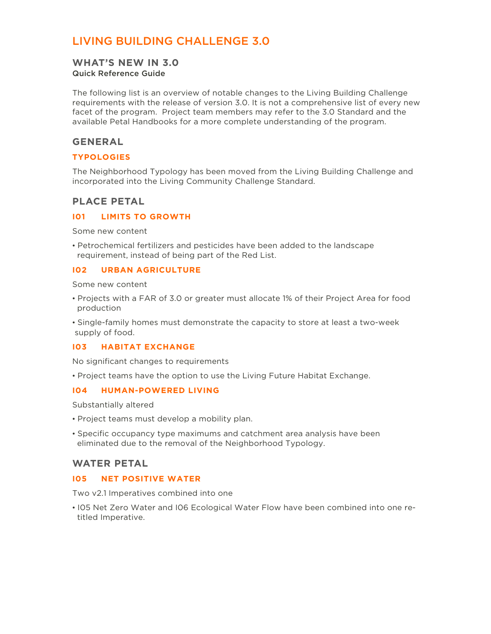# LIVING BUILDING CHALLENGE 3.0

# **WHAT'S NEW IN 3.0**

# Quick Reference Guide

The following list is an overview of notable changes to the Living Building Challenge requirements with the release of version 3.0. It is not a comprehensive list of every new facet of the program. Project team members may refer to the 3.0 Standard and the available Petal Handbooks for a more complete understanding of the program.

## **GENERAL**

#### **TYPOLOGIES**

The Neighborhood Typology has been moved from the Living Building Challenge and incorporated into the Living Community Challenge Standard.

# **PLACE PETAL**

#### **I01 LIMITS TO GROWTH**

Some new content

• Petrochemical fertilizers and pesticides have been added to the landscape requirement, instead of being part of the Red List.

#### **I02 URBAN AGRICULTURE**

Some new content

- Projects with a FAR of 3.0 or greater must allocate 1% of their Project Area for food production
- Single-family homes must demonstrate the capacity to store at least a two-week supply of food.

#### **I03 HABITAT EXCHANGE**

No significant changes to requirements

• Project teams have the option to use the Living Future Habitat Exchange.

#### **I04 HUMAN-POWERED LIVING**

Substantially altered

- Project teams must develop a mobility plan.
- Specific occupancy type maximums and catchment area analysis have been eliminated due to the removal of the Neighborhood Typology.

### **WATER PETAL**

#### **I05 NET POSITIVE WATER**

Two v2.1 Imperatives combined into one

• I05 Net Zero Water and I06 Ecological Water Flow have been combined into one re titled Imperative.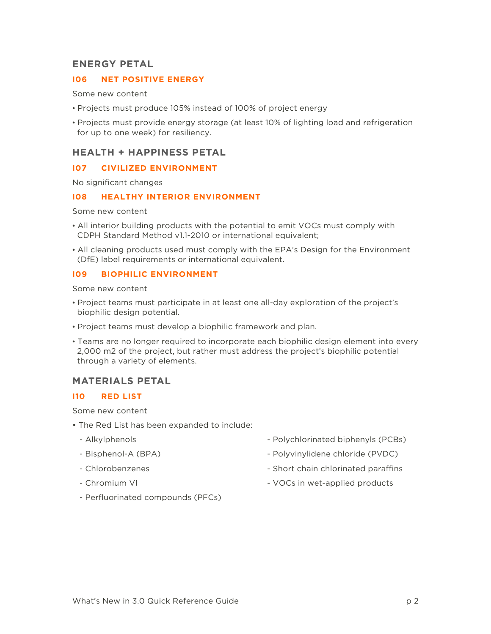### **ENERGY PETAL**

#### **I06 NET POSITIVE ENERGY**

Some new content

- Projects must produce 105% instead of 100% of project energy
- Projects must provide energy storage (at least 10% of lighting load and refrigeration for up to one week) for resiliency.

# **HEALTH + HAPPINESS PETAL**

#### **I07 CIVILIZED ENVIRONMENT**

No significant changes

#### **I08 HEALTHY INTERIOR ENVIRONMENT**

Some new content

- All interior building products with the potential to emit VOCs must comply with CDPH Standard Method v1.1-2010 or international equivalent;
- All cleaning products used must comply with the EPA's Design for the Environment (DfE) label requirements or international equivalent.

#### **I09 BIOPHILIC ENVIRONMENT**

Some new content

- Project teams must participate in at least one all-day exploration of the project's biophilic design potential.
- Project teams must develop a biophilic framework and plan.
- Teams are no longer required to incorporate each biophilic design element into every 2,000 m2 of the project, but rather must address the project's biophilic potential through a variety of elements.

### **MATERIALS PETAL**

#### **I10 RED LIST**

Some new content

- The Red List has been expanded to include:
	- Alkylphenols
	- Bisphenol-A (BPA)
	- Chlorobenzenes
	- Chromium VI
- Polychlorinated biphenyls (PCBs)
- Polyvinylidene chloride (PVDC)
- Short chain chlorinated paraffins
- VOCs in wet-applied products
- Perfluorinated compounds (PFCs)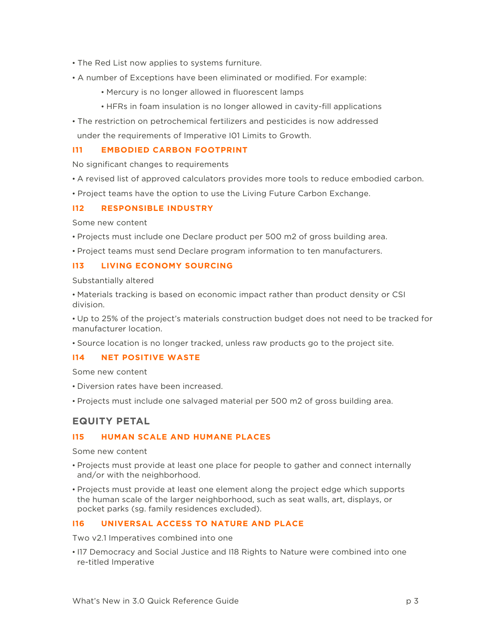- The Red List now applies to systems furniture.
- A number of Exceptions have been eliminated or modified. For example:
	- Mercury is no longer allowed in fluorescent lamps
	- HFRs in foam insulation is no longer allowed in cavity-fill applications
- The restriction on petrochemical fertilizers and pesticides is now addressed

under the requirements of Imperative I01 Limits to Growth.

#### **I11 EMBODIED CARBON FOOTPRINT**

No significant changes to requirements

- A revised list of approved calculators provides more tools to reduce embodied carbon.
- Project teams have the option to use the Living Future Carbon Exchange.

#### **I12 RESPONSIBLE INDUSTRY**

Some new content

- Projects must include one Declare product per 500 m2 of gross building area.
- Project teams must send Declare program information to ten manufacturers.

#### **I13 LIVING ECONOMY SOURCING**

Substantially altered

• Materials tracking is based on economic impact rather than product density or CSI division.

• Up to 25% of the project's materials construction budget does not need to be tracked for manufacturer location.

• Source location is no longer tracked, unless raw products go to the project site.

#### **I14 NET POSITIVE WASTE**

Some new content

- Diversion rates have been increased.
- Projects must include one salvaged material per 500 m2 of gross building area.

### **EQUITY PETAL**

#### **I15 HUMAN SCALE AND HUMANE PLACES**

Some new content

- Projects must provide at least one place for people to gather and connect internally and/or with the neighborhood.
- Projects must provide at least one element along the project edge which supports the human scale of the larger neighborhood, such as seat walls, art, displays, or pocket parks (sg. family residences excluded).

#### **I16 UNIVERSAL ACCESS TO NATURE AND PLACE**

Two v2.1 Imperatives combined into one

• I17 Democracy and Social Justice and I18 Rights to Nature were combined into one re-titled Imperative